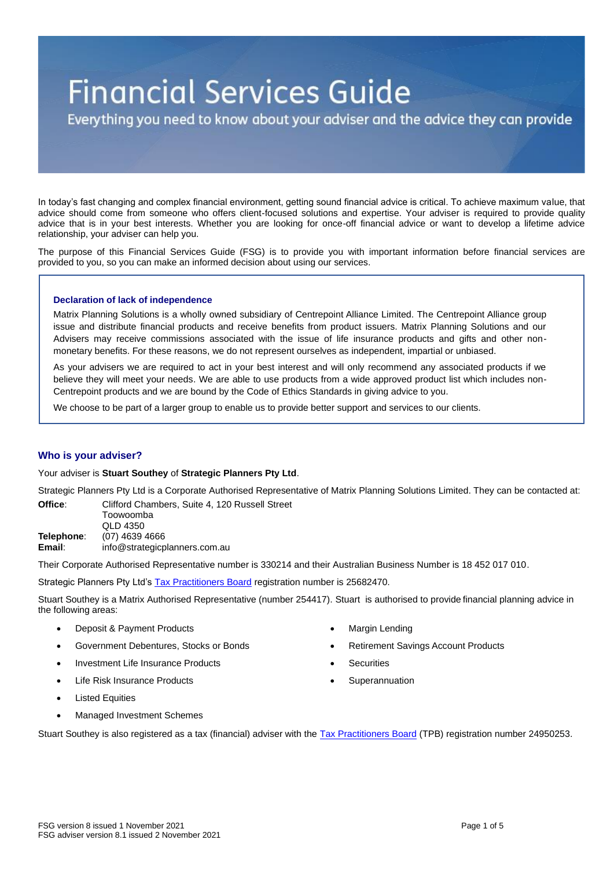# **Financial Services Guide**

Everything you need to know about your adviser and the advice they can provide

In today's fast changing and complex financial environment, getting sound financial advice is critical. To achieve maximum value, that advice should come from someone who offers client-focused solutions and expertise. Your adviser is required to provide quality advice that is in your best interests. Whether you are looking for once-off financial advice or want to develop a lifetime advice relationship, your adviser can help you.

The purpose of this Financial Services Guide (FSG) is to provide you with important information before financial services are provided to you, so you can make an informed decision about using our services.

# **Declaration of lack of independence**

Matrix Planning Solutions is a wholly owned subsidiary of Centrepoint Alliance Limited. The Centrepoint Alliance group issue and distribute financial products and receive benefits from product issuers. Matrix Planning Solutions and our Advisers may receive commissions associated with the issue of life insurance products and gifts and other nonmonetary benefits. For these reasons, we do not represent ourselves as independent, impartial or unbiased.

As your advisers we are required to act in your best interest and will only recommend any associated products if we believe they will meet your needs. We are able to use products from a wide approved product list which includes non-Centrepoint products and we are bound by the Code of Ethics Standards in giving advice to you.

We choose to be part of a larger group to enable us to provide better support and services to our clients.

# **Who is your adviser?**

## Your adviser is **Stuart Southey** of **Strategic Planners Pty Ltd**.

Strategic Planners Pty Ltd is a Corporate Authorised Representative of Matrix Planning Solutions Limited. They can be contacted at: **Office**: Clifford Chambers, Suite 4, 120 Russell Street

Toowoomba QLD 4350 **Telephone**: (07) 4639 4666 **Email**: info@strategicplanners.com.au

Their Corporate Authorised Representative number is 330214 and their Australian Business Number is 18 452 017 010.

Strategic Planners Pty Ltd's [Tax Practitioners Board](https://www.tpb.gov.au/tax-financial-advisers) registration number is 25682470.

Stuart Southey is a Matrix Authorised Representative (number 254417). Stuart is authorised to provide financial planning advice in the following areas:

- Deposit & Payment Products
- Government Debentures, Stocks or Bonds
- Investment Life Insurance Products
- Life Risk Insurance Products
- **Listed Equities**
- Managed Investment Schemes
- **Margin Lending**
- Retirement Savings Account Products
- **Securities**
- **Superannuation**

Stuart Southey is also registered as a tax (financial) adviser with the [Tax Practitioners Board](https://www.tpb.gov.au/tax-financial-advisers) (TPB) registration number 24950253.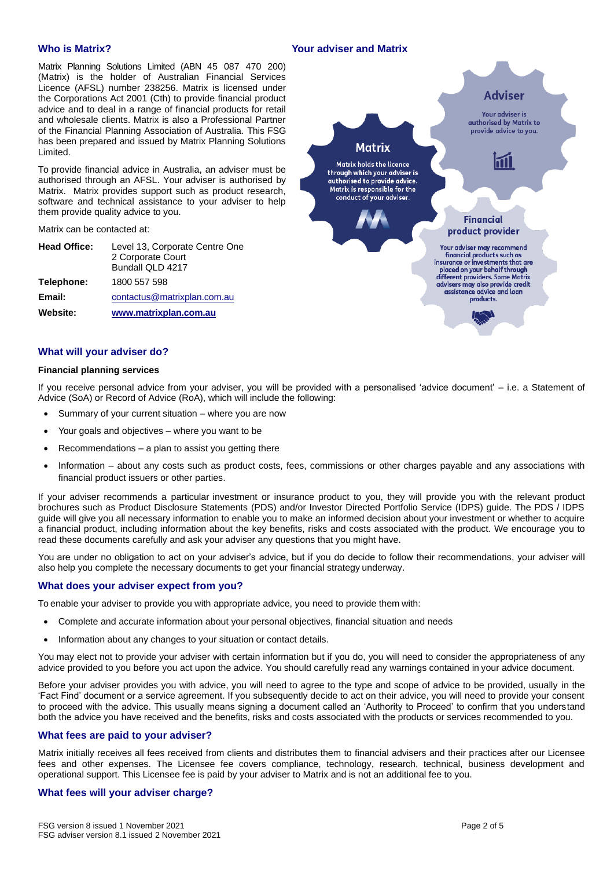# **Who is Matrix?**

Matrix Planning Solutions Limited (ABN 45 087 470 200) (Matrix) is the holder of Australian Financial Services Licence (AFSL) number 238256. Matrix is licensed under the Corporations Act 2001 (Cth) to provide financial product advice and to deal in a range of financial products for retail and wholesale clients. Matrix is also a Professional Partner of the Financial Planning Association of Australia. This FSG has been prepared and issued by Matrix Planning Solutions Limited.

To provide financial advice in Australia, an adviser must be authorised through an AFSL. Your adviser is authorised by Matrix. Matrix provides support such as product research, software and technical assistance to your adviser to help them provide quality advice to you.

Matrix can be contacted at:

| <b>Head Office:</b> | Level 13, Corporate Centre One |
|---------------------|--------------------------------|
|                     | 2 Corporate Court              |
|                     | Bundall QLD 4217               |
| Telephone:          | 1800 557 598                   |
| Email:              | contactus@matrixplan.com.au    |
| Website:            | www.matrixplan.com.au          |



# **What will your adviser do?**

#### **Financial planning services**

If you receive personal advice from your adviser, you will be provided with a personalised 'advice document' – i.e. a Statement of Advice (SoA) or Record of Advice (RoA), which will include the following:

- Summary of your current situation where you are now
- Your goals and objectives where you want to be
- $Recommendations a plan to assist you getting there$
- Information about any costs such as product costs, fees, commissions or other charges payable and any associations with financial product issuers or other parties.

If your adviser recommends a particular investment or insurance product to you, they will provide you with the relevant product brochures such as Product Disclosure Statements (PDS) and/or Investor Directed Portfolio Service (IDPS) guide. The PDS / IDPS guide will give you all necessary information to enable you to make an informed decision about your investment or whether to acquire a financial product, including information about the key benefits, risks and costs associated with the product. We encourage you to read these documents carefully and ask your adviser any questions that you might have.

You are under no obligation to act on your adviser's advice, but if you do decide to follow their recommendations, your adviser will also help you complete the necessary documents to get your financial strategy underway.

# **What does your adviser expect from you?**

To enable your adviser to provide you with appropriate advice, you need to provide them with:

- Complete and accurate information about your personal objectives, financial situation and needs
- Information about any changes to your situation or contact details.

You may elect not to provide your adviser with certain information but if you do, you will need to consider the appropriateness of any advice provided to you before you act upon the advice. You should carefully read any warnings contained in your advice document.

Before your adviser provides you with advice, you will need to agree to the type and scope of advice to be provided, usually in the 'Fact Find' document or a service agreement. If you subsequently decide to act on their advice, you will need to provide your consent to proceed with the advice. This usually means signing a document called an 'Authority to Proceed' to confirm that you understand both the advice you have received and the benefits, risks and costs associated with the products or services recommended to you.

#### **What fees are paid to your adviser?**

Matrix initially receives all fees received from clients and distributes them to financial advisers and their practices after our Licensee fees and other expenses. The Licensee fee covers compliance, technology, research, technical, business development and operational support. This Licensee fee is paid by your adviser to Matrix and is not an additional fee to you.

## **What fees will your adviser charge?**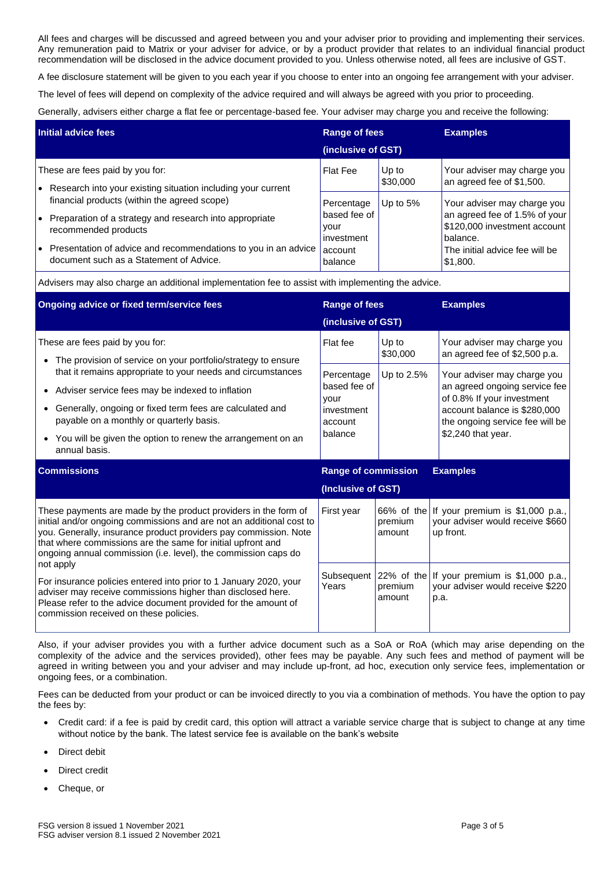All fees and charges will be discussed and agreed between you and your adviser prior to providing and implementing their services. Any remuneration paid to Matrix or your adviser for advice, or by a product provider that relates to an individual financial product recommendation will be disclosed in the advice document provided to you. Unless otherwise noted, all fees are inclusive of GST.

A fee disclosure statement will be given to you each year if you choose to enter into an ongoing fee arrangement with your adviser.

The level of fees will depend on complexity of the advice required and will always be agreed with you prior to proceeding.

Generally, advisers either charge a flat fee or percentage-based fee. Your adviser may charge you and receive the following:

| Initial advice fees |                                                                                                           | Range of fees<br>(inclusive of GST) |            | <b>Examples</b>                                                           |
|---------------------|-----------------------------------------------------------------------------------------------------------|-------------------------------------|------------|---------------------------------------------------------------------------|
|                     |                                                                                                           |                                     |            |                                                                           |
|                     | financial products (within the agreed scope)                                                              | Percentage                          | Up to $5%$ | Your adviser may charge you                                               |
| $\bullet$           | Preparation of a strategy and research into appropriate<br>recommended products                           | ∣based fee of<br>your<br>investment |            | an agreed fee of 1.5% of your<br>\$120,000 investment account<br>balance. |
| l o                 | Presentation of advice and recommendations to you in an advice<br>document such as a Statement of Advice. | account<br>balance                  |            | The initial advice fee will be<br>.51,800 ا                               |

Advisers may also charge an additional implementation fee to assist with implementing the advice.

| Ongoing advice or fixed term/service fees                                                                                                                                                                                                                                                                                                                 | <b>Range of fees</b>                                                   |                   | <b>Examples</b>                                                                                                                                                                     |  |
|-----------------------------------------------------------------------------------------------------------------------------------------------------------------------------------------------------------------------------------------------------------------------------------------------------------------------------------------------------------|------------------------------------------------------------------------|-------------------|-------------------------------------------------------------------------------------------------------------------------------------------------------------------------------------|--|
|                                                                                                                                                                                                                                                                                                                                                           | (inclusive of GST)                                                     |                   |                                                                                                                                                                                     |  |
| These are fees paid by you for:<br>The provision of service on your portfolio/strategy to ensure<br>$\bullet$                                                                                                                                                                                                                                             | Flat fee                                                               | Up to<br>\$30,000 | Your adviser may charge you<br>an agreed fee of \$2,500 p.a.                                                                                                                        |  |
| that it remains appropriate to your needs and circumstances<br>Adviser service fees may be indexed to inflation<br>$\bullet$<br>Generally, ongoing or fixed term fees are calculated and<br>payable on a monthly or quarterly basis.<br>• You will be given the option to renew the arrangement on an<br>annual basis.                                    | Percentage<br>based fee of<br>vour<br>investment<br>account<br>balance | Up to 2.5%        | Your adviser may charge you<br>an agreed ongoing service fee<br>of 0.8% If your investment<br>account balance is \$280,000<br>the ongoing service fee will be<br>\$2,240 that year. |  |
|                                                                                                                                                                                                                                                                                                                                                           | <b>Range of commission</b><br><b>Examples</b>                          |                   |                                                                                                                                                                                     |  |
| <b>Commissions</b>                                                                                                                                                                                                                                                                                                                                        |                                                                        |                   |                                                                                                                                                                                     |  |
|                                                                                                                                                                                                                                                                                                                                                           | (Inclusive of GST)                                                     |                   |                                                                                                                                                                                     |  |
| These payments are made by the product providers in the form of<br>initial and/or ongoing commissions and are not an additional cost to<br>you. Generally, insurance product providers pay commission. Note<br>that where commissions are the same for initial upfront and<br>ongoing annual commission (i.e. level), the commission caps do<br>not apply | First year                                                             | premium<br>amount | 66% of the If your premium is \$1,000 p.a.,<br>your adviser would receive \$660<br>up front.                                                                                        |  |

Also, if your adviser provides you with a further advice document such as a SoA or RoA (which may arise depending on the complexity of the advice and the services provided), other fees may be payable. Any such fees and method of payment will be agreed in writing between you and your adviser and may include up-front, ad hoc, execution only service fees, implementation or ongoing fees, or a combination.

Fees can be deducted from your product or can be invoiced directly to you via a combination of methods. You have the option to pay the fees by:

- Credit card: if a fee is paid by credit card, this option will attract a variable service charge that is subject to change at any time without notice by the bank. The latest service fee is available on the bank's website
- Direct debit
- Direct credit
- Cheque, or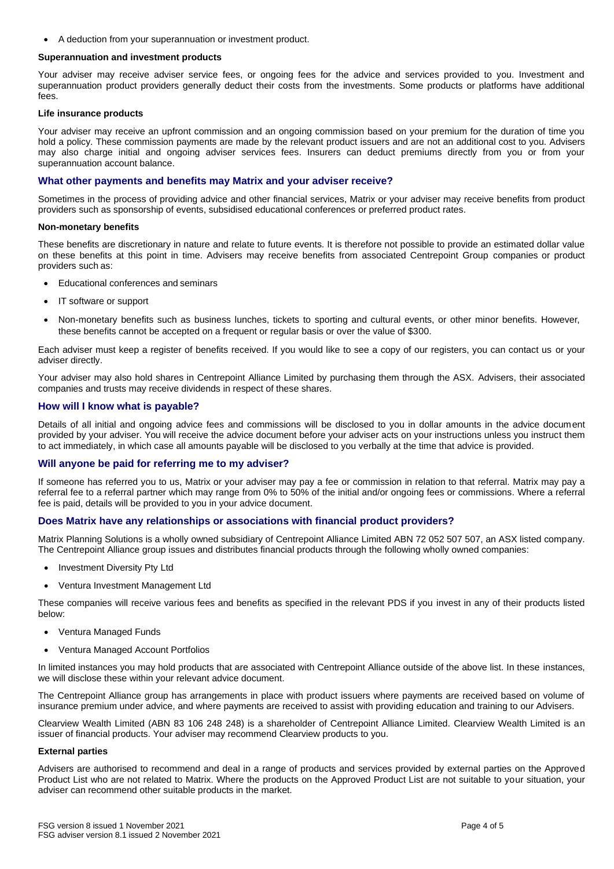• A deduction from your superannuation or investment product.

# **Superannuation and investment products**

Your adviser may receive adviser service fees, or ongoing fees for the advice and services provided to you. Investment and superannuation product providers generally deduct their costs from the investments. Some products or platforms have additional fees.

## **Life insurance products**

Your adviser may receive an upfront commission and an ongoing commission based on your premium for the duration of time you hold a policy. These commission payments are made by the relevant product issuers and are not an additional cost to you. Advisers may also charge initial and ongoing adviser services fees. Insurers can deduct premiums directly from you or from your superannuation account balance.

# **What other payments and benefits may Matrix and your adviser receive?**

Sometimes in the process of providing advice and other financial services, Matrix or your adviser may receive benefits from product providers such as sponsorship of events, subsidised educational conferences or preferred product rates.

#### **Non-monetary benefits**

These benefits are discretionary in nature and relate to future events. It is therefore not possible to provide an estimated dollar value on these benefits at this point in time. Advisers may receive benefits from associated Centrepoint Group companies or product providers such as:

- Educational conferences and seminars
- IT software or support
- Non-monetary benefits such as business lunches, tickets to sporting and cultural events, or other minor benefits. However, these benefits cannot be accepted on a frequent or regular basis or over the value of \$300.

Each adviser must keep a register of benefits received. If you would like to see a copy of our registers, you can contact us or your adviser directly.

Your adviser may also hold shares in Centrepoint Alliance Limited by purchasing them through the ASX. Advisers, their associated companies and trusts may receive dividends in respect of these shares.

# **How will I know what is payable?**

Details of all initial and ongoing advice fees and commissions will be disclosed to you in dollar amounts in the advice document provided by your adviser. You will receive the advice document before your adviser acts on your instructions unless you instruct them to act immediately, in which case all amounts payable will be disclosed to you verbally at the time that advice is provided.

## **Will anyone be paid for referring me to my adviser?**

If someone has referred you to us, Matrix or your adviser may pay a fee or commission in relation to that referral. Matrix may pay a referral fee to a referral partner which may range from 0% to 50% of the initial and/or ongoing fees or commissions. Where a referral fee is paid, details will be provided to you in your advice document.

## **Does Matrix have any relationships or associations with financial product providers?**

Matrix Planning Solutions is a wholly owned subsidiary of Centrepoint Alliance Limited ABN 72 052 507 507, an ASX listed company. The Centrepoint Alliance group issues and distributes financial products through the following wholly owned companies:

- Investment Diversity Pty Ltd
- Ventura Investment Management Ltd

These companies will receive various fees and benefits as specified in the relevant PDS if you invest in any of their products listed below:

- Ventura Managed Funds
- Ventura Managed Account Portfolios

In limited instances you may hold products that are associated with Centrepoint Alliance outside of the above list. In these instances, we will disclose these within your relevant advice document.

The Centrepoint Alliance group has arrangements in place with product issuers where payments are received based on volume of insurance premium under advice, and where payments are received to assist with providing education and training to our Advisers.

Clearview Wealth Limited (ABN 83 106 248 248) is a shareholder of Centrepoint Alliance Limited. Clearview Wealth Limited is an issuer of financial products. Your adviser may recommend Clearview products to you.

## **External parties**

Advisers are authorised to recommend and deal in a range of products and services provided by external parties on the Approved Product List who are not related to Matrix. Where the products on the Approved Product List are not suitable to your situation, your adviser can recommend other suitable products in the market.